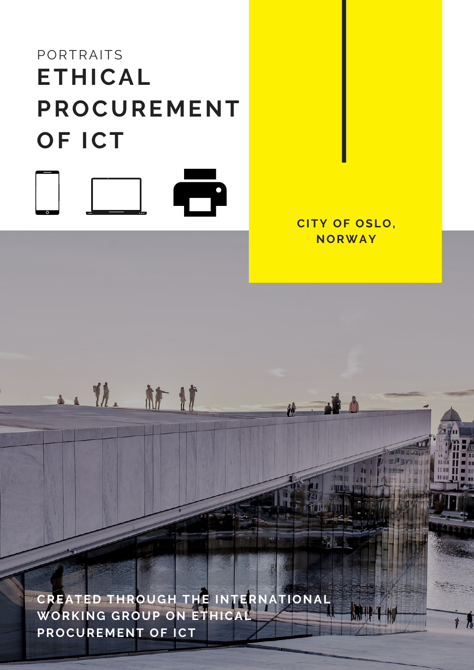# PORTRAITS **ETHICAL PROCUREMENT OF ICT**  $\ddot{\phantom{a}}$

• 11. 扩建



**CREATED THROUGH THE INTERNATIONAL WORKING GROUP ON ETHICAL PROCUREMENT OF ICT**